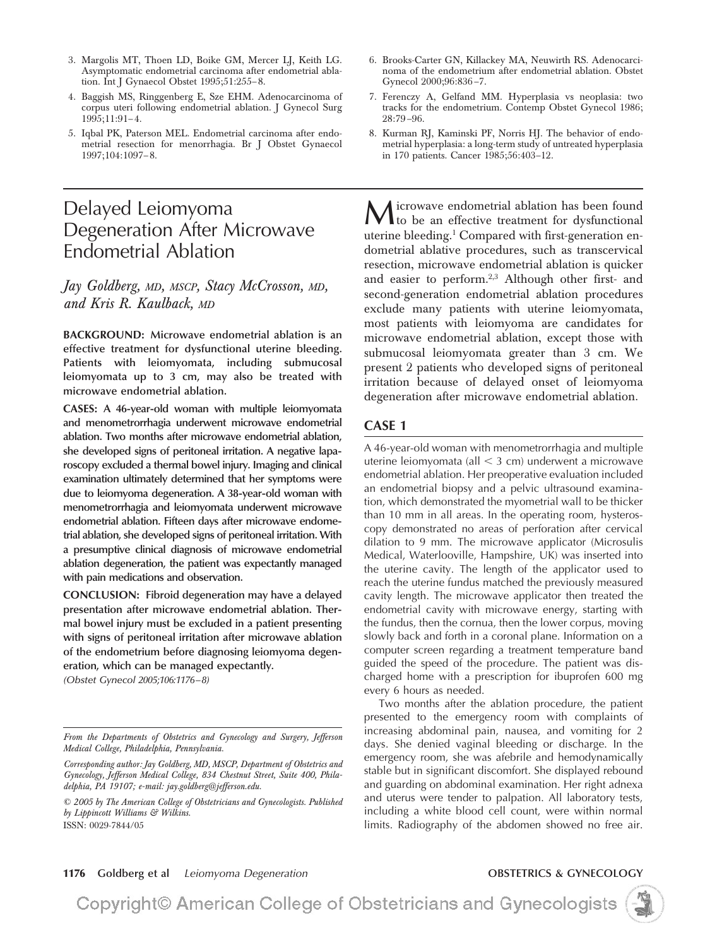- 3. Margolis MT, Thoen LD, Boike GM, Mercer LJ, Keith LG. Asymptomatic endometrial carcinoma after endometrial ablation. Int J Gynaecol Obstet 1995;51:255-8.
- 4. Baggish MS, Ringgenberg E, Sze EHM. Adenocarcinoma of corpus uteri following endometrial ablation. J Gynecol Surg 1995;11:91– 4.
- 5. Iqbal PK, Paterson MEL. Endometrial carcinoma after endometrial resection for menorrhagia. Br J Obstet Gynaecol 1997;104:1097– 8.

# Delayed Leiomyoma Degeneration After Microwave Endometrial Ablation

# *Jay Goldberg, MD, MSCP, Stacy McCrosson, MD, and Kris R. Kaulback, MD*

**BACKGROUND: Microwave endometrial ablation is an effective treatment for dysfunctional uterine bleeding. Patients with leiomyomata, including submucosal leiomyomata up to 3 cm, may also be treated with microwave endometrial ablation.**

**CASES: A 46-year-old woman with multiple leiomyomata and menometrorrhagia underwent microwave endometrial ablation. Two months after microwave endometrial ablation, she developed signs of peritoneal irritation. A negative laparoscopy excluded a thermal bowel injury. Imaging and clinical examination ultimately determined that her symptoms were due to leiomyoma degeneration. A 38-year-old woman with menometrorrhagia and leiomyomata underwent microwave endometrial ablation. Fifteen days after microwave endometrial ablation, she developed signs of peritoneal irritation. With a presumptive clinical diagnosis of microwave endometrial ablation degeneration, the patient was expectantly managed with pain medications and observation.**

**CONCLUSION: Fibroid degeneration may have a delayed presentation after microwave endometrial ablation. Thermal bowel injury must be excluded in a patient presenting with signs of peritoneal irritation after microwave ablation of the endometrium before diagnosing leiomyoma degeneration, which can be managed expectantly.**

*(Obstet Gynecol 2005;106:1176–8)*

- 6. Brooks-Carter GN, Killackey MA, Neuwirth RS. Adenocarcinoma of the endometrium after endometrial ablation. Obstet Gynecol 2000;96:836 –7.
- 7. Ferenczy A, Gelfand MM. Hyperplasia vs neoplasia: two tracks for the endometrium. Contemp Obstet Gynecol 1986; 28:79 –96.
- 8. Kurman RJ, Kaminski PF, Norris HJ. The behavior of endometrial hyperplasia: a long-term study of untreated hyperplasia in 170 patients. Cancer 1985;56:403–12.

Microwave endometrial ablation has been found<br>to be an effective treatment for dysfunctional uterine bleeding.1 Compared with first-generation endometrial ablative procedures, such as transcervical resection, microwave endometrial ablation is quicker and easier to perform.2,3 Although other first- and second-generation endometrial ablation procedures exclude many patients with uterine leiomyomata, most patients with leiomyoma are candidates for microwave endometrial ablation, except those with submucosal leiomyomata greater than 3 cm. We present 2 patients who developed signs of peritoneal irritation because of delayed onset of leiomyoma degeneration after microwave endometrial ablation.

### **CASE 1**

A 46-year-old woman with menometrorrhagia and multiple uterine leiomyomata (all  $<$  3 cm) underwent a microwave endometrial ablation. Her preoperative evaluation included an endometrial biopsy and a pelvic ultrasound examination, which demonstrated the myometrial wall to be thicker than 10 mm in all areas. In the operating room, hysteroscopy demonstrated no areas of perforation after cervical dilation to 9 mm. The microwave applicator (Microsulis Medical, Waterlooville, Hampshire, UK) was inserted into the uterine cavity. The length of the applicator used to reach the uterine fundus matched the previously measured cavity length. The microwave applicator then treated the endometrial cavity with microwave energy, starting with the fundus, then the cornua, then the lower corpus, moving slowly back and forth in a coronal plane. Information on a computer screen regarding a treatment temperature band guided the speed of the procedure. The patient was discharged home with a prescription for ibuprofen 600 mg every 6 hours as needed.

Two months after the ablation procedure, the patient presented to the emergency room with complaints of increasing abdominal pain, nausea, and vomiting for 2 days. She denied vaginal bleeding or discharge. In the emergency room, she was afebrile and hemodynamically stable but in significant discomfort. She displayed rebound and guarding on abdominal examination. Her right adnexa and uterus were tender to palpation. All laboratory tests, including a white blood cell count, were within normal limits. Radiography of the abdomen showed no free air.

### **1176 Goldberg et al** *Leiomyoma Degeneration* **OBSTETRICS & GYNECOLOGY**

Copyright© American College of Obstetricians and Gynecologists



*From the Departments of Obstetrics and Gynecology and Surgery, Jefferson Medical College, Philadelphia, Pennsylvania.*

*Corresponding author: Jay Goldberg, MD, MSCP, Department of Obstetrics and Gynecology, Jefferson Medical College, 834 Chestnut Street, Suite 400, Philadelphia, PA 19107; e-mail: jay.goldberg@jefferson.edu.*

*<sup>© 2005</sup> by The American College of Obstetricians and Gynecologists. Published by Lippincott Williams & Wilkins.* ISSN: 0029-7844/05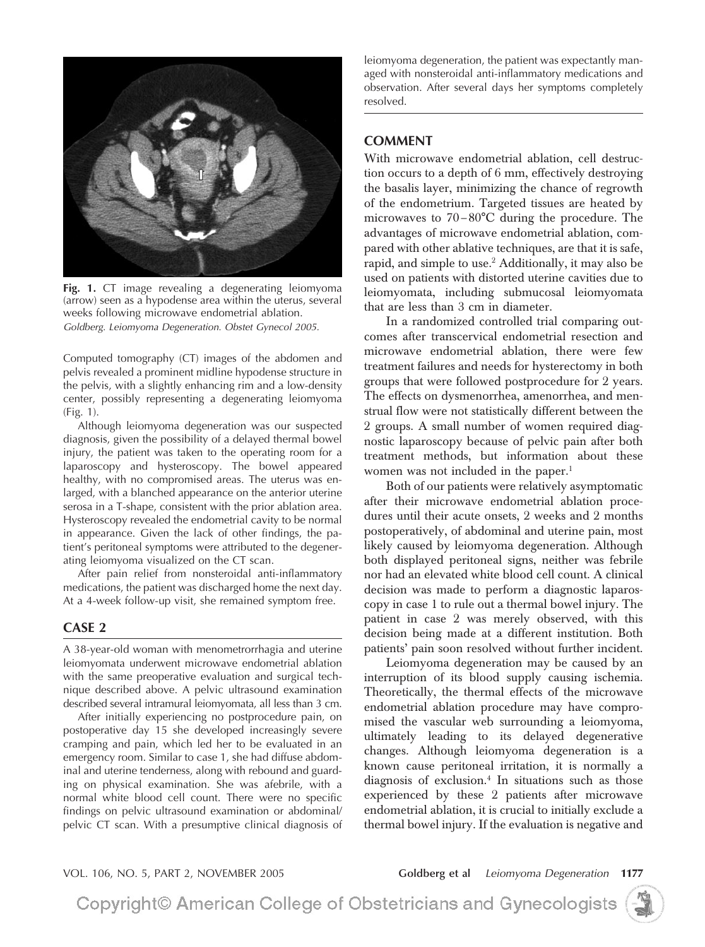

**Fig. 1.** CT image revealing a degenerating leiomyoma (arrow) seen as a hypodense area within the uterus, several weeks following microwave endometrial ablation. *Goldberg. Leiomyoma Degeneration. Obstet Gynecol 2005.*

Computed tomography (CT) images of the abdomen and pelvis revealed a prominent midline hypodense structure in the pelvis, with a slightly enhancing rim and a low-density center, possibly representing a degenerating leiomyoma (Fig. 1).

Although leiomyoma degeneration was our suspected diagnosis, given the possibility of a delayed thermal bowel injury, the patient was taken to the operating room for a laparoscopy and hysteroscopy. The bowel appeared healthy, with no compromised areas. The uterus was enlarged, with a blanched appearance on the anterior uterine serosa in a T-shape, consistent with the prior ablation area. Hysteroscopy revealed the endometrial cavity to be normal in appearance. Given the lack of other findings, the patient's peritoneal symptoms were attributed to the degenerating leiomyoma visualized on the CT scan.

After pain relief from nonsteroidal anti-inflammatory medications, the patient was discharged home the next day. At a 4-week follow-up visit, she remained symptom free.

#### **CASE 2**

A 38-year-old woman with menometrorrhagia and uterine leiomyomata underwent microwave endometrial ablation with the same preoperative evaluation and surgical technique described above. A pelvic ultrasound examination described several intramural leiomyomata, all less than 3 cm.

After initially experiencing no postprocedure pain, on postoperative day 15 she developed increasingly severe cramping and pain, which led her to be evaluated in an emergency room. Similar to case 1, she had diffuse abdominal and uterine tenderness, along with rebound and guarding on physical examination. She was afebrile, with a normal white blood cell count. There were no specific findings on pelvic ultrasound examination or abdominal/ pelvic CT scan. With a presumptive clinical diagnosis of leiomyoma degeneration, the patient was expectantly managed with nonsteroidal anti-inflammatory medications and observation. After several days her symptoms completely resolved.

## **COMMENT**

With microwave endometrial ablation, cell destruction occurs to a depth of 6 mm, effectively destroying the basalis layer, minimizing the chance of regrowth of the endometrium. Targeted tissues are heated by microwaves to 70-80°C during the procedure. The advantages of microwave endometrial ablation, compared with other ablative techniques, are that it is safe, rapid, and simple to use.<sup>2</sup> Additionally, it may also be used on patients with distorted uterine cavities due to leiomyomata, including submucosal leiomyomata that are less than 3 cm in diameter.

In a randomized controlled trial comparing outcomes after transcervical endometrial resection and microwave endometrial ablation, there were few treatment failures and needs for hysterectomy in both groups that were followed postprocedure for 2 years. The effects on dysmenorrhea, amenorrhea, and menstrual flow were not statistically different between the 2 groups. A small number of women required diagnostic laparoscopy because of pelvic pain after both treatment methods, but information about these women was not included in the paper.<sup>1</sup>

Both of our patients were relatively asymptomatic after their microwave endometrial ablation procedures until their acute onsets, 2 weeks and 2 months postoperatively, of abdominal and uterine pain, most likely caused by leiomyoma degeneration. Although both displayed peritoneal signs, neither was febrile nor had an elevated white blood cell count. A clinical decision was made to perform a diagnostic laparoscopy in case 1 to rule out a thermal bowel injury. The patient in case 2 was merely observed, with this decision being made at a different institution. Both patients' pain soon resolved without further incident.

Leiomyoma degeneration may be caused by an interruption of its blood supply causing ischemia. Theoretically, the thermal effects of the microwave endometrial ablation procedure may have compromised the vascular web surrounding a leiomyoma, ultimately leading to its delayed degenerative changes. Although leiomyoma degeneration is a known cause peritoneal irritation, it is normally a diagnosis of exclusion.4 In situations such as those experienced by these 2 patients after microwave endometrial ablation, it is crucial to initially exclude a thermal bowel injury. If the evaluation is negative and

VOL. 106, NO. 5, PART 2, NOVEMBER 2005 **Goldberg et al** *Leiomyoma Degeneration* **1177**

Copyright© American College of Obstetricians and Gynecologists